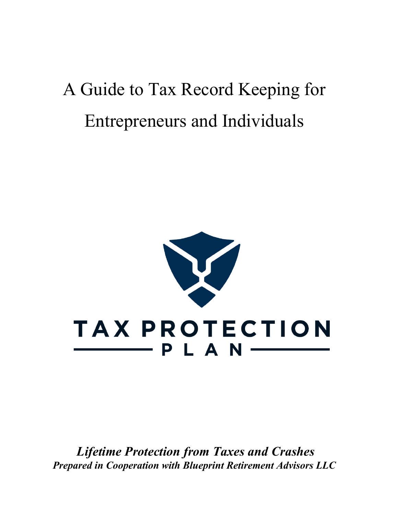# A Guide to Tax Record Keeping for Entrepreneurs and Individuals



*Lifetime Protection from Taxes and Crashes Prepared in Cooperation with Blueprint Retirement Advisors LLC*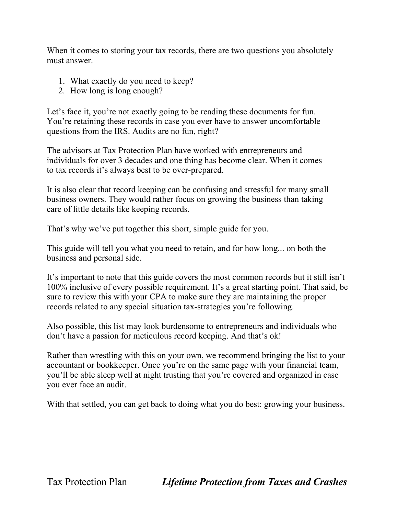When it comes to storing your tax records, there are two questions you absolutely must answer.

- 1. What exactly do you need to keep?
- 2. How long is long enough?

Let's face it, you're not exactly going to be reading these documents for fun. You're retaining these records in case you ever have to answer uncomfortable questions from the IRS. Audits are no fun, right?

The advisors at Tax Protection Plan have worked with entrepreneurs and individuals for over 3 decades and one thing has become clear. When it comes to tax records it's always best to be over-prepared.

It is also clear that record keeping can be confusing and stressful for many small business owners. They would rather focus on growing the business than taking care of little details like keeping records.

That's why we've put together this short, simple guide for you.

This guide will tell you what you need to retain, and for how long... on both the business and personal side.

It's important to note that this guide covers the most common records but it still isn't 100% inclusive of every possible requirement. It's a great starting point. That said, be sure to review this with your CPA to make sure they are maintaining the proper records related to any special situation tax-strategies you're following.

Also possible, this list may look burdensome to entrepreneurs and individuals who don't have a passion for meticulous record keeping. And that's ok!

Rather than wrestling with this on your own, we recommend bringing the list to your accountant or bookkeeper. Once you're on the same page with your financial team, you'll be able sleep well at night trusting that you're covered and organized in case you ever face an audit.

With that settled, you can get back to doing what you do best: growing your business.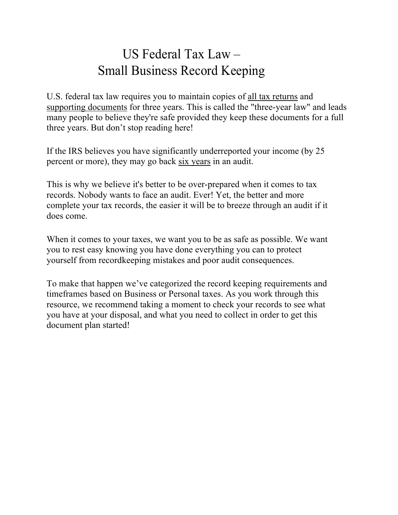## US Federal Tax Law – Small Business Record Keeping

U.S. federal tax law requires you to maintain copies of all tax returns and supporting documents for three years. This is called the "three-year law" and leads many people to believe they're safe provided they keep these documents for a full three years. But don't stop reading here!

If the IRS believes you have significantly underreported your income (by 25 percent or more), they may go back six years in an audit.

This is why we believe it's better to be over-prepared when it comes to tax records. Nobody wants to face an audit. Ever! Yet, the better and more complete your tax records, the easier it will be to breeze through an audit if it does come.

When it comes to your taxes, we want you to be as safe as possible. We want you to rest easy knowing you have done everything you can to protect yourself from recordkeeping mistakes and poor audit consequences.

To make that happen we've categorized the record keeping requirements and timeframes based on Business or Personal taxes. As you work through this resource, we recommend taking a moment to check your records to see what you have at your disposal, and what you need to collect in order to get this document plan started!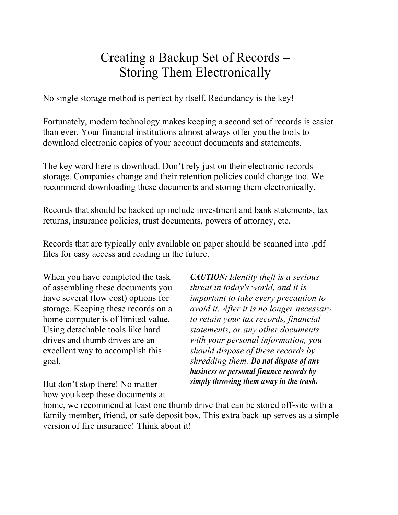#### Creating a Backup Set of Records – Storing Them Electronically

No single storage method is perfect by itself. Redundancy is the key!

Fortunately, modern technology makes keeping a second set of records is easier than ever. Your financial institutions almost always offer you the tools to download electronic copies of your account documents and statements.

The key word here is download. Don't rely just on their electronic records storage. Companies change and their retention policies could change too. We recommend downloading these documents and storing them electronically.

Records that should be backed up include investment and bank statements, tax returns, insurance policies, trust documents, powers of attorney, etc.

Records that are typically only available on paper should be scanned into .pdf files for easy access and reading in the future.

When you have completed the task of assembling these documents you have several (low cost) options for storage. Keeping these records on a home computer is of limited value. Using detachable tools like hard drives and thumb drives are an excellent way to accomplish this goal.

But don't stop there! No matter how you keep these documents at *CAUTION: Identity theft is a serious threat in today's world, and it is important to take every precaution to avoid it. After it is no longer necessary to retain your tax records, financial statements, or any other documents with your personal information, you should dispose of these records by shredding them. Do not dispose of any business or personal finance records by simply throwing them away in the trash.*

home, we recommend at least one thumb drive that can be stored off-site with a family member, friend, or safe deposit box. This extra back-up serves as a simple version of fire insurance! Think about it!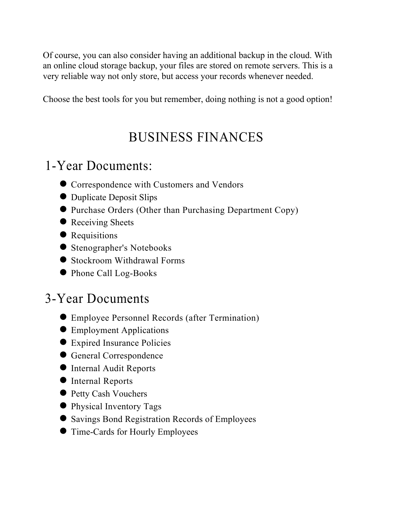Of course, you can also consider having an additional backup in the cloud. With an online cloud storage backup, your files are stored on remote servers. This is a very reliable way not only store, but access your records whenever needed.

Choose the best tools for you but remember, doing nothing is not a good option!

# BUSINESS FINANCES

#### 1-Year Documents:

- $\bullet$  Correspondence with Customers and Vendors
- Duplicate Deposit Slips
- l Purchase Orders (Other than Purchasing Department Copy)
- Receiving Sheets
- Requisitions
- $\bullet$  Stenographer's Notebooks
- Stockroom Withdrawal Forms
- Phone Call Log-Books

## 3-Year Documents

- l Employee Personnel Records (after Termination)
- **•** Employment Applications
- Expired Insurance Policies
- **C** General Correspondence
- $\bullet$  Internal Audit Reports
- $\bullet$  Internal Reports
- **Petty Cash Vouchers**
- **Physical Inventory Tags**
- $\bullet$  Savings Bond Registration Records of Employees
- **Time-Cards for Hourly Employees**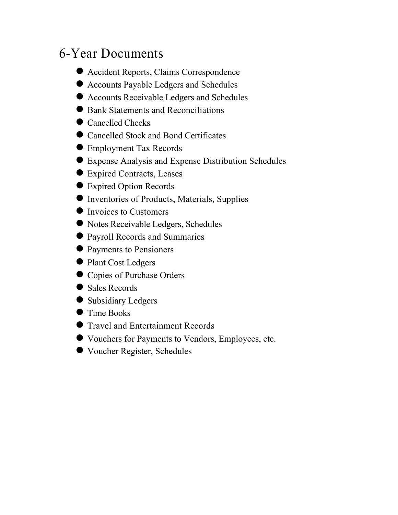#### 6-Year Documents

- Accident Reports, Claims Correspondence
- $\bullet$  Accounts Payable Ledgers and Schedules
- l Accounts Receivable Ledgers and Schedules
- Bank Statements and Reconciliations
- Cancelled Checks
- Cancelled Stock and Bond Certificates
- Employment Tax Records
- l Expense Analysis and Expense Distribution Schedules
- Expired Contracts, Leases
- Expired Option Records
- $\bullet$  Inventories of Products, Materials, Supplies
- $\bullet$  Invoices to Customers
- Notes Receivable Ledgers, Schedules
- l Payroll Records and Summaries
- Payments to Pensioners
- Plant Cost Ledgers
- **Copies of Purchase Orders**
- $\bullet$  Sales Records
- Subsidiary Ledgers
- **Time Books**
- **Travel and Entertainment Records**
- l Vouchers for Payments to Vendors, Employees, etc.
- Voucher Register, Schedules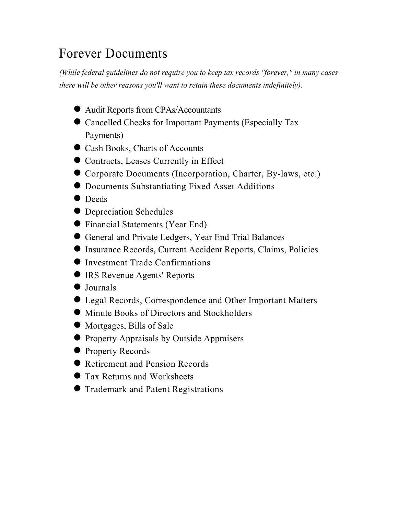## Forever Documents

*(While federal guidelines do not require you to keep tax records "forever," in many cases there will be other reasons you'll want to retain these documents indefinitely).*

- l Audit Reports from CPAs/Accountants
- Cancelled Checks for Important Payments (Especially Tax Payments)
- Cash Books, Charts of Accounts
- Contracts, Leases Currently in Effect
- Corporate Documents (Incorporation, Charter, By-laws, etc.)
- **Documents Substantiating Fixed Asset Additions**
- $\bullet$  Deeds
- Depreciation Schedules
- l Financial Statements (Year End)
- l General and Private Ledgers, Year End Trial Balances
- $\bullet$  Insurance Records, Current Accident Reports, Claims, Policies
- **The Investment Trade Confirmations**
- **IRS Revenue Agents' Reports**
- $\bullet$  Journals
- Legal Records, Correspondence and Other Important Matters
- Minute Books of Directors and Stockholders
- Mortgages, Bills of Sale
- **Property Appraisals by Outside Appraisers**
- **Property Records**
- Retirement and Pension Records
- **Tax Returns and Worksheets**
- **Trademark and Patent Registrations**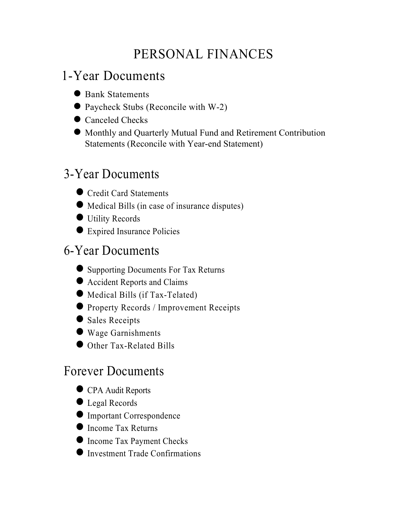# PERSONAL FINANCES

## 1-Year Documents

- Bank Statements
- Paycheck Stubs (Reconcile with W-2)
- Canceled Checks
- l Monthly and Quarterly Mutual Fund and Retirement Contribution Statements (Reconcile with Year-end Statement)

## 3-Year Documents

- Credit Card Statements
- l Medical Bills (in case of insurance disputes)
- $\bullet$  Utility Records
- Expired Insurance Policies

#### 6-Year Documents

- Supporting Documents For Tax Returns
- Accident Reports and Claims
- $\bullet$  Medical Bills (if Tax-Telated)
- **Property Records / Improvement Receipts**
- Sales Receipts
- l Wage Garnishments
- Other Tax-Related Bills

#### Forever Documents

- **CPA Audit Reports**
- Legal Records
- $\bullet$  Important Correspondence
- Income Tax Returns
- **Income Tax Payment Checks**
- $\bullet$  Investment Trade Confirmations